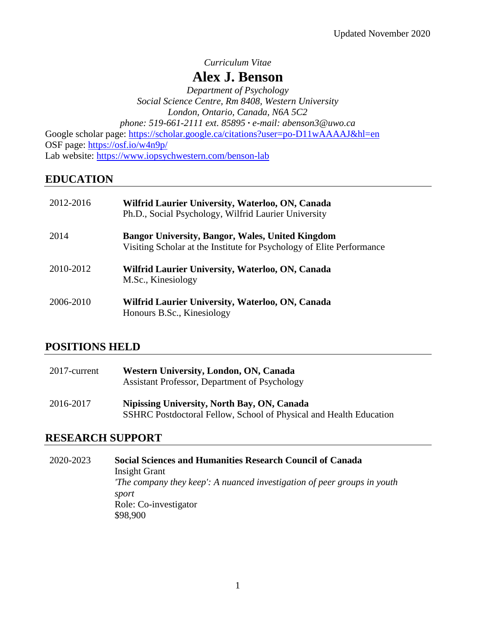*Curriculum Vitae*

# **Alex J. Benson**

*Department of Psychology Social Science Centre, Rm 8408, Western University London, Ontario, Canada, N6A 5C2 phone: 519-661-2111 ext. 85895* **∙** *e-mail: abenson3@uwo.ca*

Google scholar page: <https://scholar.google.ca/citations?user=po-D11wAAAAJ&hl=en> OSF page:<https://osf.io/w4n9p/> Lab website:<https://www.iopsychwestern.com/benson-lab>

# **EDUCATION**

| 2012-2016 | Wilfrid Laurier University, Waterloo, ON, Canada<br>Ph.D., Social Psychology, Wilfrid Laurier University                         |
|-----------|----------------------------------------------------------------------------------------------------------------------------------|
| 2014      | <b>Bangor University, Bangor, Wales, United Kingdom</b><br>Visiting Scholar at the Institute for Psychology of Elite Performance |
| 2010-2012 | Wilfrid Laurier University, Waterloo, ON, Canada<br>M.Sc., Kinesiology                                                           |
| 2006-2010 | Wilfrid Laurier University, Waterloo, ON, Canada<br>Honours B.Sc., Kinesiology                                                   |

# **POSITIONS HELD**

| 2017-current | Western University, London, ON, Canada<br>Assistant Professor, Department of Psychology                           |
|--------------|-------------------------------------------------------------------------------------------------------------------|
| 2016-2017    | Nipissing University, North Bay, ON, Canada<br>SSHRC Postdoctoral Fellow, School of Physical and Health Education |

# **RESEARCH SUPPORT**

2020-2023 **Social Sciences and Humanities Research Council of Canada** Insight Grant *'The company they keep': A nuanced investigation of peer groups in youth sport* Role: Co-investigator \$98,900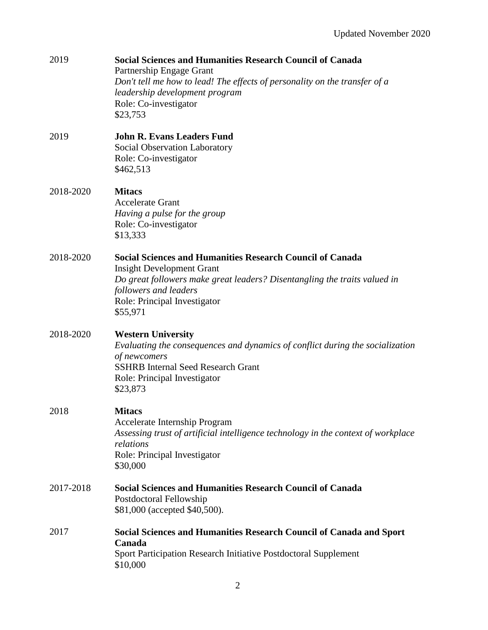| 2019      | <b>Social Sciences and Humanities Research Council of Canada</b><br>Partnership Engage Grant<br>Don't tell me how to lead! The effects of personality on the transfer of a<br>leadership development program<br>Role: Co-investigator<br>\$23,753      |
|-----------|--------------------------------------------------------------------------------------------------------------------------------------------------------------------------------------------------------------------------------------------------------|
| 2019      | <b>John R. Evans Leaders Fund</b><br>Social Observation Laboratory<br>Role: Co-investigator<br>\$462,513                                                                                                                                               |
| 2018-2020 | <b>Mitacs</b><br><b>Accelerate Grant</b><br>Having a pulse for the group<br>Role: Co-investigator<br>\$13,333                                                                                                                                          |
| 2018-2020 | <b>Social Sciences and Humanities Research Council of Canada</b><br><b>Insight Development Grant</b><br>Do great followers make great leaders? Disentangling the traits valued in<br>followers and leaders<br>Role: Principal Investigator<br>\$55,971 |
| 2018-2020 | <b>Western University</b><br>Evaluating the consequences and dynamics of conflict during the socialization<br>of newcomers<br><b>SSHRB Internal Seed Research Grant</b><br>Role: Principal Investigator<br>\$23,873                                    |
| 2018      | <b>Mitacs</b><br>Accelerate Internship Program<br>Assessing trust of artificial intelligence technology in the context of workplace<br>relations<br>Role: Principal Investigator<br>\$30,000                                                           |
| 2017-2018 | <b>Social Sciences and Humanities Research Council of Canada</b><br>Postdoctoral Fellowship<br>\$81,000 (accepted \$40,500).                                                                                                                           |
| 2017      | <b>Social Sciences and Humanities Research Council of Canada and Sport</b><br>Canada<br>Sport Participation Research Initiative Postdoctoral Supplement<br>\$10,000                                                                                    |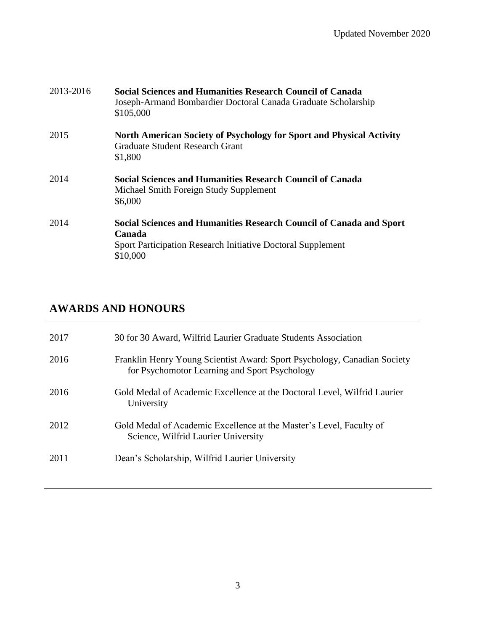| 2013-2016 | <b>Social Sciences and Humanities Research Council of Canada</b><br>Joseph-Armand Bombardier Doctoral Canada Graduate Scholarship<br>\$105,000           |
|-----------|----------------------------------------------------------------------------------------------------------------------------------------------------------|
| 2015      | <b>North American Society of Psychology for Sport and Physical Activity</b><br><b>Graduate Student Research Grant</b><br>\$1,800                         |
| 2014      | <b>Social Sciences and Humanities Research Council of Canada</b><br>Michael Smith Foreign Study Supplement<br>\$6,000                                    |
| 2014      | Social Sciences and Humanities Research Council of Canada and Sport<br>Canada<br>Sport Participation Research Initiative Doctoral Supplement<br>\$10,000 |

# **AWARDS AND HONOURS**

| 2017 | 30 for 30 Award, Wilfrid Laurier Graduate Students Association                                                            |
|------|---------------------------------------------------------------------------------------------------------------------------|
| 2016 | Franklin Henry Young Scientist Award: Sport Psychology, Canadian Society<br>for Psychomotor Learning and Sport Psychology |
| 2016 | Gold Medal of Academic Excellence at the Doctoral Level, Wilfrid Laurier<br>University                                    |
| 2012 | Gold Medal of Academic Excellence at the Master's Level, Faculty of<br>Science, Wilfrid Laurier University                |
| 2011 | Dean's Scholarship, Wilfrid Laurier University                                                                            |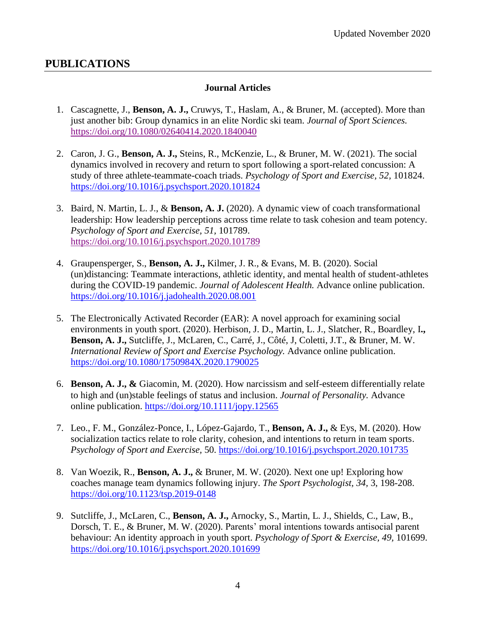# **PUBLICATIONS**

### **Journal Articles**

- 1. Cascagnette, J., **Benson, A. J.,** Cruwys, T., Haslam, A., & Bruner, M. (accepted). More than just another bib: Group dynamics in an elite Nordic ski team. *Journal of Sport Sciences.*  <https://doi.org/10.1080/02640414.2020.1840040>
- 2. Caron, J. G., **Benson, A. J.,** Steins, R., McKenzie, L., & Bruner, M. W. (2021). The social dynamics involved in recovery and return to sport following a sport-related concussion: A study of three athlete-teammate-coach triads. *Psychology of Sport and Exercise, 52,* 101824. <https://doi.org/10.1016/j.psychsport.2020.101824>
- 3. Baird, N. Martin, L. J., & **Benson, A. J.** (2020). A dynamic view of coach transformational leadership: How leadership perceptions across time relate to task cohesion and team potency. *Psychology of Sport and Exercise, 51,* 101789. <https://doi.org/10.1016/j.psychsport.2020.101789>
- 4. Graupensperger, S., **Benson, A. J.,** Kilmer, J. R., & Evans, M. B. (2020). Social (un)distancing: Teammate interactions, athletic identity, and mental health of student-athletes during the COVID-19 pandemic. *Journal of Adolescent Health.* Advance online publication. <https://doi.org/10.1016/j.jadohealth.2020.08.001>
- 5. The Electronically Activated Recorder (EAR): A novel approach for examining social environments in youth sport. (2020). Herbison, J. D., Martin, L. J., Slatcher, R., Boardley, I**., Benson, A. J.,** Sutcliffe, J., McLaren, C., Carré, J., Côté, J, Coletti, J.T., & Bruner, M. W. *International Review of Sport and Exercise Psychology.* Advance online publication. <https://doi.org/10.1080/1750984X.2020.1790025>
- 6. **Benson, A. J., &** Giacomin, M. (2020). How narcissism and self-esteem differentially relate to high and (un)stable feelings of status and inclusion. *Journal of Personality.* Advance online publication. <https://doi.org/10.1111/jopy.12565>
- 7. Leo., F. M., González-Ponce, I., López-Gajardo, T., **Benson, A. J.,** & Eys, M. (2020). How socialization tactics relate to role clarity, cohesion, and intentions to return in team sports. *Psychology of Sport and Exercise,* 50. <https://doi.org/10.1016/j.psychsport.2020.101735>
- 8. Van Woezik, R., **Benson, A. J.,** & Bruner, M. W. (2020). Next one up! Exploring how coaches manage team dynamics following injury. *The Sport Psychologist, 34,* 3, 198-208. <https://doi.org/10.1123/tsp.2019-0148>
- 9. Sutcliffe, J., McLaren, C., **Benson, A. J.,** Arnocky, S., Martin, L. J., Shields, C., Law, B., Dorsch, T. E., & Bruner, M. W. (2020). Parents' moral intentions towards antisocial parent behaviour: An identity approach in youth sport. *Psychology of Sport & Exercise, 49,* 101699. <https://doi.org/10.1016/j.psychsport.2020.101699>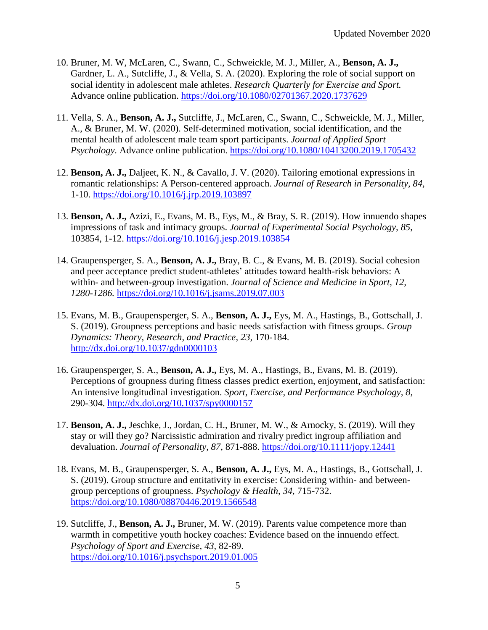- 10. Bruner, M. W, McLaren, C., Swann, C., Schweickle, M. J., Miller, A., **Benson, A. J.,**  Gardner, L. A., Sutcliffe, J., & Vella, S. A. (2020). Exploring the role of social support on social identity in adolescent male athletes. *Research Quarterly for Exercise and Sport.* Advance online publication. <https://doi.org/10.1080/02701367.2020.1737629>
- 11. Vella, S. A., **Benson, A. J.,** Sutcliffe, J., McLaren, C., Swann, C., Schweickle, M. J., Miller, A., & Bruner, M. W. (2020). Self-determined motivation, social identification, and the mental health of adolescent male team sport participants. *Journal of Applied Sport Psychology.* Advance online publication. <https://doi.org/10.1080/10413200.2019.1705432>
- 12. **Benson, A. J.,** Daljeet, K. N., & Cavallo, J. V. (2020). Tailoring emotional expressions in romantic relationships: A Person-centered approach. *Journal of Research in Personality, 84,*  1-10. <https://doi.org/10.1016/j.jrp.2019.103897>
- 13. **Benson, A. J.,** Azizi, E., Evans, M. B., Eys, M., & Bray, S. R. (2019). How innuendo shapes impressions of task and intimacy groups. *Journal of Experimental Social Psychology, 85*, 103854, 1-12. <https://doi.org/10.1016/j.jesp.2019.103854>
- 14. Graupensperger, S. A., **Benson, A. J.,** Bray, B. C., & Evans, M. B. (2019). Social cohesion and peer acceptance predict student-athletes' attitudes toward health-risk behaviors: A within- and between-group investigation. *Journal of Science and Medicine in Sport, 12, 1280-1286.* <https://doi.org/10.1016/j.jsams.2019.07.003>
- 15. Evans, M. B., Graupensperger, S. A., **Benson, A. J.,** Eys, M. A., Hastings, B., Gottschall, J. S. (2019). Groupness perceptions and basic needs satisfaction with fitness groups. *Group Dynamics: Theory, Research, and Practice, 23,* 170-184. <http://dx.doi.org/10.1037/gdn0000103>
- 16. Graupensperger, S. A., **Benson, A. J.,** Eys, M. A., Hastings, B., Evans, M. B. (2019). Perceptions of groupness during fitness classes predict exertion, enjoyment, and satisfaction: An intensive longitudinal investigation. *Sport, Exercise, and Performance Psychology, 8,*  290-304.<http://dx.doi.org/10.1037/spy0000157>
- 17. **Benson, A. J.,** Jeschke, J., Jordan, C. H., Bruner, M. W., & Arnocky, S. (2019). Will they stay or will they go? Narcissistic admiration and rivalry predict ingroup affiliation and devaluation. *Journal of Personality, 87,* 871-888.<https://doi.org/10.1111/jopy.12441>
- 18. Evans, M. B., Graupensperger, S. A., **Benson, A. J.,** Eys, M. A., Hastings, B., Gottschall, J. S. (2019). Group structure and entitativity in exercise: Considering within- and betweengroup perceptions of groupness. *Psychology & Health, 34,* 715-732. <https://doi.org/10.1080/08870446.2019.1566548>
- 19. Sutcliffe, J., **Benson, A. J.,** Bruner, M. W. (2019). Parents value competence more than warmth in competitive youth hockey coaches: Evidence based on the innuendo effect. *Psychology of Sport and Exercise, 43,* 82-89. <https://doi.org/10.1016/j.psychsport.2019.01.005>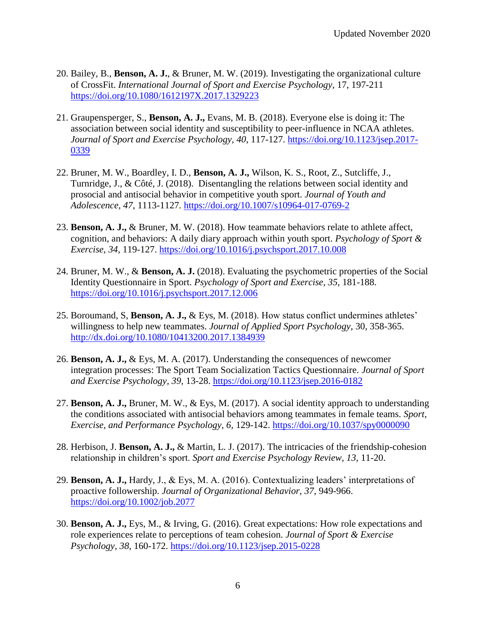- 20. Bailey, B., **Benson, A. J.**, & Bruner, M. W. (2019). Investigating the organizational culture of CrossFit. *International Journal of Sport and Exercise Psychology,* 17, 197-211 <https://doi.org/10.1080/1612197X.2017.1329223>
- 21. Graupensperger, S., **Benson, A. J.,** Evans, M. B. (2018). Everyone else is doing it: The association between social identity and susceptibility to peer-influence in NCAA athletes. *Journal of Sport and Exercise Psychology, 40*, 117-127. [https://doi.org/10.1123/jsep.2017-](https://doi.org/10.1123/jsep.2017-0339) [0339](https://doi.org/10.1123/jsep.2017-0339)
- 22. Bruner, M. W., Boardley, I. D., **Benson, A. J.,** Wilson, K. S., Root, Z., Sutcliffe, J., Turnridge, J., & Côté, J. (2018). Disentangling the relations between social identity and prosocial and antisocial behavior in competitive youth sport. *Journal of Youth and Adolescence, 47*, 1113-1127*.* <https://doi.org/10.1007/s10964-017-0769-2>
- 23. **Benson, A. J.,** & Bruner, M. W. (2018). How teammate behaviors relate to athlete affect, cognition, and behaviors: A daily diary approach within youth sport. *Psychology of Sport & Exercise, 34,* 119-127. <https://doi.org/10.1016/j.psychsport.2017.10.008>
- 24. Bruner, M. W., & **Benson, A. J.** (2018). Evaluating the psychometric properties of the Social Identity Questionnaire in Sport. *Psychology of Sport and Exercise, 35,* 181-188. <https://doi.org/10.1016/j.psychsport.2017.12.006>
- 25. Boroumand, S, **Benson, A. J.,** & Eys, M. (2018). How status conflict undermines athletes' willingness to help new teammates. *Journal of Applied Sport Psychology*, 30, 358-365. <http://dx.doi.org/10.1080/10413200.2017.1384939>
- 26. **Benson, A. J.,** & Eys, M. A. (2017). Understanding the consequences of newcomer integration processes: The Sport Team Socialization Tactics Questionnaire. *Journal of Sport and Exercise Psychology, 39,* 13-28.<https://doi.org/10.1123/jsep.2016-0182>
- 27. **Benson, A. J.,** Bruner, M. W., & Eys, M. (2017). A social identity approach to understanding the conditions associated with antisocial behaviors among teammates in female teams. *Sport, Exercise, and Performance Psychology, 6,* 129-142.<https://doi.org/10.1037/spy0000090>
- 28. Herbison, J. **Benson, A. J.,** & Martin, L. J. (2017). The intricacies of the friendship-cohesion relationship in children's sport. *Sport and Exercise Psychology Review, 13,* 11-20.
- 29. **Benson, A. J.,** Hardy, J., & Eys, M. A. (2016). Contextualizing leaders' interpretations of proactive followership. *Journal of Organizational Behavior, 37*, 949-966. <https://doi.org/10.1002/job.2077>
- 30. **Benson, A. J.,** Eys, M., & Irving, G. (2016). Great expectations: How role expectations and role experiences relate to perceptions of team cohesion. *Journal of Sport & Exercise Psychology, 38*, 160-172.<https://doi.org/10.1123/jsep.2015-0228>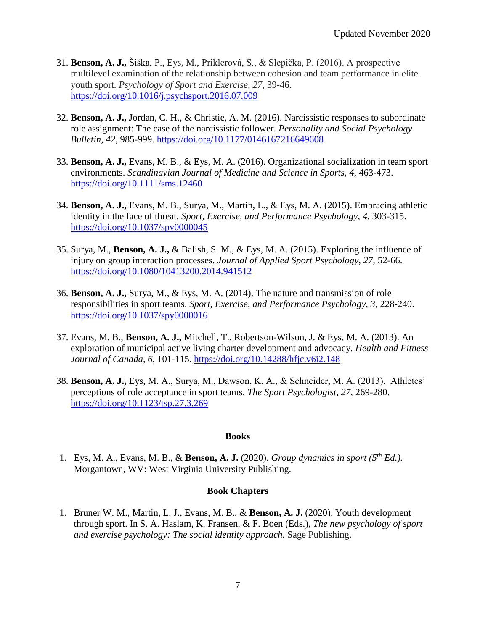- 31. **Benson, A. J.,** Šiška, P., Eys, M., Priklerová, S., & Slepička, P. (2016). A prospective multilevel examination of the relationship between cohesion and team performance in elite youth sport. *Psychology of Sport and Exercise, 27*, 39-46. <https://doi.org/10.1016/j.psychsport.2016.07.009>
- 32. **Benson, A. J.,** Jordan, C. H., & Christie, A. M. (2016). Narcissistic responses to subordinate role assignment: The case of the narcissistic follower. *Personality and Social Psychology Bulletin, 42*, 985-999.<https://doi.org/10.1177/0146167216649608>
- 33. **Benson, A. J.,** Evans, M. B., & Eys, M. A. (2016). Organizational socialization in team sport environments. *Scandinavian Journal of Medicine and Science in Sports, 4*, 463-473. <https://doi.org/10.1111/sms.12460>
- 34. **Benson, A. J.,** Evans, M. B., Surya, M., Martin, L., & Eys, M. A. (2015). Embracing athletic identity in the face of threat. *Sport, Exercise, and Performance Psychology, 4,* 303-315. <https://doi.org/10.1037/spy0000045>
- 35. Surya, M., **Benson, A. J.,** & Balish, S. M., & Eys, M. A. (2015). Exploring the influence of injury on group interaction processes. *Journal of Applied Sport Psychology, 27,* 52-66. <https://doi.org/10.1080/10413200.2014.941512>
- 36. **Benson, A. J.,** Surya, M., & Eys, M. A. (2014). The nature and transmission of role responsibilities in sport teams. *Sport, Exercise, and Performance Psychology, 3,* 228-240. [https://doi.org/10.1037/spy0000016](https://psycnet.apa.org/doi/10.1037/spy0000016)
- 37. Evans, M. B., **Benson, A. J.,** Mitchell, T., Robertson-Wilson, J. & Eys, M. A. (2013). An exploration of municipal active living charter development and advocacy. *Health and Fitness Journal of Canada, 6,* 101-115. <https://doi.org/10.14288/hfjc.v6i2.148>
- 38. **Benson, A. J.,** Eys, M. A., Surya, M., Dawson, K. A., & Schneider, M. A. (2013). Athletes' perceptions of role acceptance in sport teams. *The Sport Psychologist, 27,* 269-280. <https://doi.org/10.1123/tsp.27.3.269>

### **Books**

1. Eys, M. A., Evans, M. B., & **Benson, A. J.** (2020). *Group dynamics in sport (5th Ed.).* Morgantown, WV: West Virginia University Publishing.

### **Book Chapters**

1. Bruner W. M., Martin, L. J., Evans, M. B., & **Benson, A. J.** (2020). Youth development through sport. In S. A. Haslam, K. Fransen, & F. Boen (Eds.), *The new psychology of sport and exercise psychology: The social identity approach.* Sage Publishing.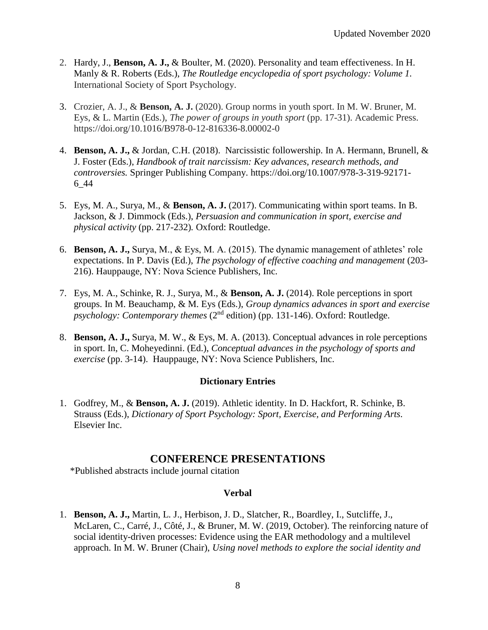- 2. Hardy, J., **Benson, A. J.,** & Boulter, M. (2020). Personality and team effectiveness. In H. Manly & R. Roberts (Eds.), *The Routledge encyclopedia of sport psychology: Volume 1.* International Society of Sport Psychology.
- 3. Crozier, A. J., & **Benson, A. J.** (2020). Group norms in youth sport. In M. W. Bruner, M. Eys, & L. Martin (Eds.), *The power of groups in youth sport* (pp. 17-31). Academic Press. https://doi.org/10.1016/B978-0-12-816336-8.00002-0
- 4. **Benson, A. J.,** & Jordan, C.H. (2018). Narcissistic followership. In A. Hermann, Brunell, & J. Foster (Eds.), *Handbook of trait narcissism: Key advances, research methods, and controversies.* Springer Publishing Company. https://doi.org/10.1007/978-3-319-92171- 6\_44
- 5. Eys, M. A., Surya, M., & **Benson, A. J.** (2017). Communicating within sport teams. In B. Jackson, & J. Dimmock (Eds.), *Persuasion and communication in sport, exercise and physical activity* (pp. 217-232)*.* Oxford: Routledge.
- 6. **Benson, A. J.,** Surya, M., & Eys, M. A. (2015). The dynamic management of athletes' role expectations. In P. Davis (Ed.), *The psychology of effective coaching and management* (203- 216). Hauppauge, NY: Nova Science Publishers, Inc.
- 7. Eys, M. A., Schinke, R. J., Surya, M., & **Benson, A. J.** (2014). Role perceptions in sport groups. In M. Beauchamp, & M. Eys (Eds.), *Group dynamics advances in sport and exercise psychology: Contemporary themes* (2<sup>nd</sup> edition) (pp. 131-146). Oxford: Routledge.
- 8. **Benson, A. J.,** Surya, M. W., & Eys, M. A. (2013). Conceptual advances in role perceptions in sport. In, C. Moheyedinni. (Ed.), *Conceptual advances in the psychology of sports and exercise* (pp. 3-14). Hauppauge, NY: Nova Science Publishers, Inc.

### **Dictionary Entries**

1. Godfrey, M., & **Benson, A. J.** (2019). Athletic identity. In D. Hackfort, R. Schinke, B. Strauss (Eds.), *Dictionary of Sport Psychology: Sport, Exercise, and Performing Arts.*  Elsevier Inc.

### **CONFERENCE PRESENTATIONS**

\*Published abstracts include journal citation

### **Verbal**

1. **Benson, A. J.,** Martin, L. J., Herbison, J. D., Slatcher, R., Boardley, I., Sutcliffe, J., McLaren, C., Carré, J., Côté, J., & Bruner, M. W. (2019, October). The reinforcing nature of social identity-driven processes: Evidence using the EAR methodology and a multilevel approach. In M. W. Bruner (Chair), *Using novel methods to explore the social identity and*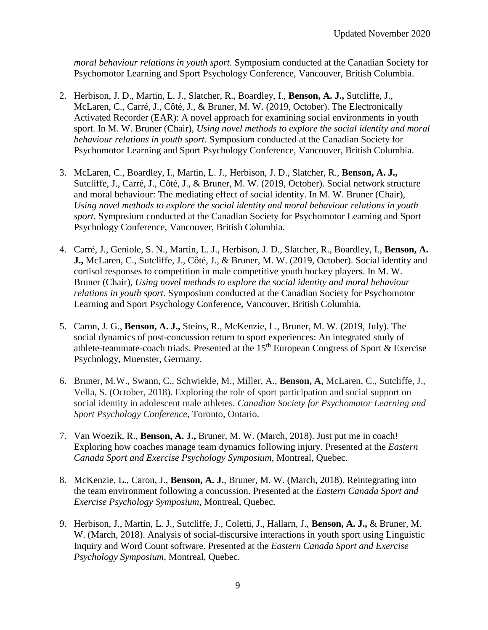*moral behaviour relations in youth sport.* Symposium conducted at the Canadian Society for Psychomotor Learning and Sport Psychology Conference, Vancouver, British Columbia.

- 2. Herbison, J. D., Martin, L. J., Slatcher, R., Boardley, I., **Benson, A. J.,** Sutcliffe, J., McLaren, C., Carré, J., Côté, J., & Bruner, M. W. (2019, October). The Electronically Activated Recorder (EAR): A novel approach for examining social environments in youth sport. In M. W. Bruner (Chair), *Using novel methods to explore the social identity and moral behaviour relations in youth sport.* Symposium conducted at the Canadian Society for Psychomotor Learning and Sport Psychology Conference, Vancouver, British Columbia.
- 3. McLaren, C., Boardley, I., Martin, L. J., Herbison, J. D., Slatcher, R., **Benson, A. J.,** Sutcliffe, J., Carré, J., Côté, J., & Bruner, M. W. (2019, October). Social network structure and moral behaviour: The mediating effect of social identity. In M. W. Bruner (Chair), *Using novel methods to explore the social identity and moral behaviour relations in youth sport.* Symposium conducted at the Canadian Society for Psychomotor Learning and Sport Psychology Conference, Vancouver, British Columbia.
- 4. Carré, J., Geniole, S. N., Martin, L. J., Herbison, J. D., Slatcher, R., Boardley, I., **Benson, A. J.,** McLaren, C., Sutcliffe, J., Côté, J., & Bruner, M. W. (2019, October). Social identity and cortisol responses to competition in male competitive youth hockey players. In M. W. Bruner (Chair), *Using novel methods to explore the social identity and moral behaviour relations in youth sport.* Symposium conducted at the Canadian Society for Psychomotor Learning and Sport Psychology Conference, Vancouver, British Columbia.
- 5. Caron, J. G., **Benson, A. J.,** Steins, R., McKenzie, L., Bruner, M. W. (2019, July). The social dynamics of post-concussion return to sport experiences: An integrated study of athlete-teammate-coach triads. Presented at the  $15<sup>th</sup>$  European Congress of Sport & Exercise Psychology, Muenster, Germany.
- 6. Bruner, M.W., Swann, C., Schwiekle, M., Miller, A., **Benson, A,** McLaren, C., Sutcliffe, J., Vella, S. (October, 2018). Exploring the role of sport participation and social support on social identity in adolescent male athletes. *Canadian Society for Psychomotor Learning and Sport Psychology Conference*, Toronto, Ontario.
- 7. Van Woezik, R., **Benson, A. J.,** Bruner, M. W. (March, 2018). Just put me in coach! Exploring how coaches manage team dynamics following injury. Presented at the *Eastern Canada Sport and Exercise Psychology Symposium*, Montreal, Quebec.
- 8. McKenzie, L., Caron, J., **Benson, A. J.**, Bruner, M. W. (March, 2018). Reintegrating into the team environment following a concussion. Presented at the *Eastern Canada Sport and Exercise Psychology Symposium*, Montreal, Quebec.
- 9. Herbison, J., Martin, L. J., Sutcliffe, J., Coletti, J., Hallarn, J., **Benson, A. J.,** & Bruner, M. W. (March, 2018). Analysis of social-discursive interactions in youth sport using Linguistic Inquiry and Word Count software. Presented at the *Eastern Canada Sport and Exercise Psychology Symposium*, Montreal, Quebec.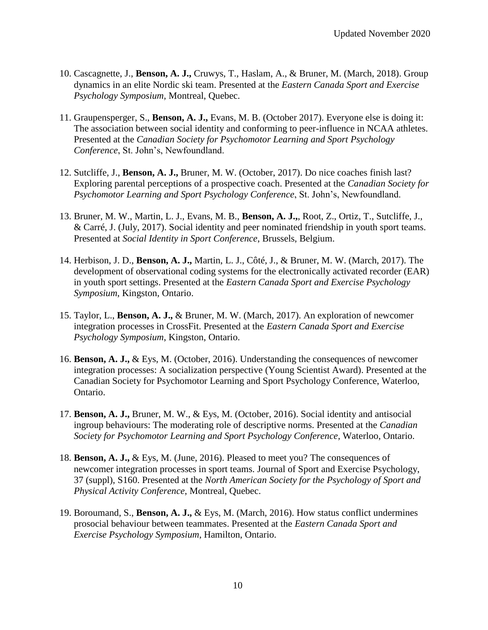- 10. Cascagnette, J., **Benson, A. J.,** Cruwys, T., Haslam, A., & Bruner, M. (March, 2018). Group dynamics in an elite Nordic ski team. Presented at the *Eastern Canada Sport and Exercise Psychology Symposium*, Montreal, Quebec.
- 11. Graupensperger, S., **Benson, A. J.,** Evans, M. B. (October 2017). Everyone else is doing it: The association between social identity and conforming to peer-influence in NCAA athletes. Presented at the *Canadian Society for Psychomotor Learning and Sport Psychology Conference*, St. John's, Newfoundland.
- 12. Sutcliffe, J., **Benson, A. J.,** Bruner, M. W. (October, 2017). Do nice coaches finish last? Exploring parental perceptions of a prospective coach. Presented at the *Canadian Society for Psychomotor Learning and Sport Psychology Conference*, St. John's, Newfoundland.
- 13. Bruner, M. W., Martin, L. J., Evans, M. B., **Benson, A. J.,**, Root, Z., Ortiz, T., Sutcliffe, J., & Carré, J. (July, 2017). Social identity and peer nominated friendship in youth sport teams. Presented at *Social Identity in Sport Conference*, Brussels, Belgium.
- 14. Herbison, J. D., **Benson, A. J.,** Martin, L. J., Côté, J., & Bruner, M. W. (March, 2017). The development of observational coding systems for the electronically activated recorder (EAR) in youth sport settings. Presented at the *Eastern Canada Sport and Exercise Psychology Symposium*, Kingston, Ontario.
- 15. Taylor, L., **Benson, A. J.,** & Bruner, M. W. (March, 2017). An exploration of newcomer integration processes in CrossFit. Presented at the *Eastern Canada Sport and Exercise Psychology Symposium*, Kingston, Ontario.
- 16. **Benson, A. J.,** & Eys, M. (October, 2016). Understanding the consequences of newcomer integration processes: A socialization perspective (Young Scientist Award). Presented at the Canadian Society for Psychomotor Learning and Sport Psychology Conference, Waterloo, Ontario.
- 17. **Benson, A. J.,** Bruner, M. W., & Eys, M. (October, 2016). Social identity and antisocial ingroup behaviours: The moderating role of descriptive norms. Presented at the *Canadian Society for Psychomotor Learning and Sport Psychology Conference*, Waterloo, Ontario.
- 18. **Benson, A. J.,** & Eys, M. (June, 2016). Pleased to meet you? The consequences of newcomer integration processes in sport teams. Journal of Sport and Exercise Psychology, 37 (suppl), S160. Presented at the *North American Society for the Psychology of Sport and Physical Activity Conference*, Montreal, Quebec.
- 19. Boroumand, S., **Benson, A. J.,** & Eys, M. (March, 2016). How status conflict undermines prosocial behaviour between teammates. Presented at the *Eastern Canada Sport and Exercise Psychology Symposium*, Hamilton, Ontario.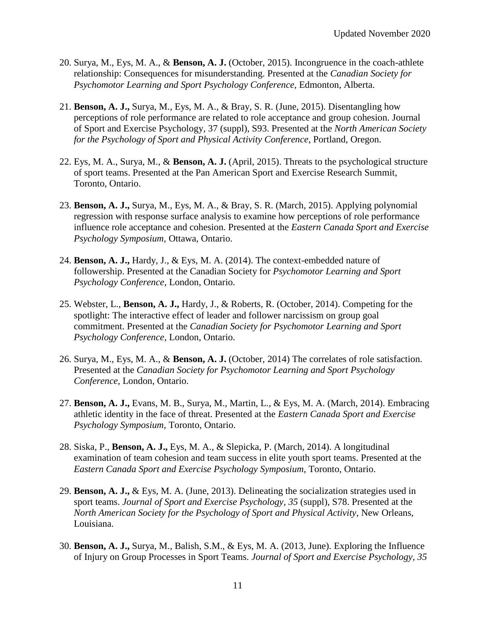- 20. Surya, M., Eys, M. A., & **Benson, A. J.** (October, 2015). Incongruence in the coach-athlete relationship: Consequences for misunderstanding. Presented at the *Canadian Society for Psychomotor Learning and Sport Psychology Conference*, Edmonton, Alberta.
- 21. **Benson, A. J.,** Surya, M., Eys, M. A., & Bray, S. R. (June, 2015). Disentangling how perceptions of role performance are related to role acceptance and group cohesion. Journal of Sport and Exercise Psychology, 37 (suppl), S93. Presented at the *North American Society for the Psychology of Sport and Physical Activity Conference*, Portland, Oregon.
- 22. Eys, M. A., Surya, M., & **Benson, A. J.** (April, 2015). Threats to the psychological structure of sport teams. Presented at the Pan American Sport and Exercise Research Summit, Toronto, Ontario.
- 23. **Benson, A. J.,** Surya, M., Eys, M. A., & Bray, S. R. (March, 2015). Applying polynomial regression with response surface analysis to examine how perceptions of role performance influence role acceptance and cohesion. Presented at the *Eastern Canada Sport and Exercise Psychology Symposium,* Ottawa, Ontario.
- 24. **Benson, A. J.,** Hardy, J., & Eys, M. A. (2014). The context-embedded nature of followership. Presented at the Canadian Society for *Psychomotor Learning and Sport Psychology Conference*, London, Ontario.
- 25. Webster, L., **Benson, A. J.,** Hardy, J., & Roberts, R. (October, 2014). Competing for the spotlight: The interactive effect of leader and follower narcissism on group goal commitment. Presented at the *Canadian Society for Psychomotor Learning and Sport Psychology Conference*, London, Ontario.
- 26. Surya, M., Eys, M. A., & **Benson, A. J.** (October, 2014) The correlates of role satisfaction. Presented at the *Canadian Society for Psychomotor Learning and Sport Psychology Conference*, London, Ontario.
- 27. **Benson, A. J.,** Evans, M. B., Surya, M., Martin, L., & Eys, M. A. (March, 2014). Embracing athletic identity in the face of threat. Presented at the *Eastern Canada Sport and Exercise Psychology Symposium,* Toronto, Ontario.
- 28. Siska, P., **Benson, A. J.,** Eys, M. A., & Slepicka, P. (March, 2014). A longitudinal examination of team cohesion and team success in elite youth sport teams. Presented at the *Eastern Canada Sport and Exercise Psychology Symposium*, Toronto, Ontario.
- 29. **Benson, A. J.,** & Eys, M. A. (June, 2013). Delineating the socialization strategies used in sport teams. *Journal of Sport and Exercise Psychology, 35* (suppl), S78. Presented at the *North American Society for the Psychology of Sport and Physical Activity*, New Orleans, Louisiana.
- 30. **Benson, A. J.,** Surya, M., Balish, S.M., & Eys, M. A. (2013, June). Exploring the Influence of Injury on Group Processes in Sport Teams. *Journal of Sport and Exercise Psychology, 35*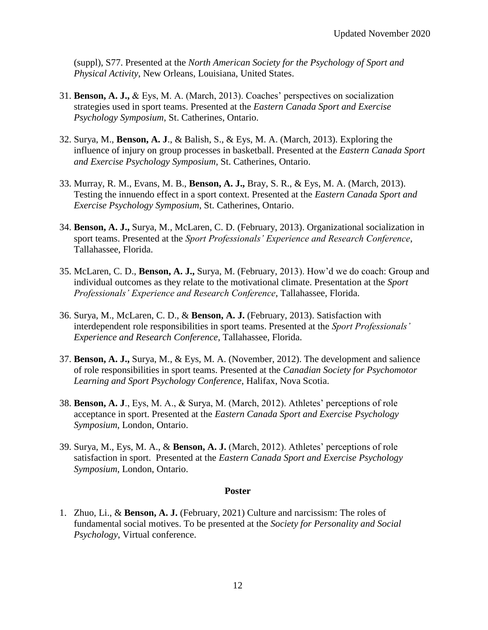(suppl), S77. Presented at the *North American Society for the Psychology of Sport and Physical Activity*, New Orleans, Louisiana, United States.

- 31. **Benson, A. J.,** & Eys, M. A. (March, 2013). Coaches' perspectives on socialization strategies used in sport teams. Presented at the *Eastern Canada Sport and Exercise Psychology Symposium*, St. Catherines, Ontario.
- 32. Surya, M., **Benson, A. J**., & Balish, S., & Eys, M. A. (March, 2013). Exploring the influence of injury on group processes in basketball. Presented at the *Eastern Canada Sport and Exercise Psychology Symposium*, St. Catherines, Ontario.
- 33. Murray, R. M., Evans, M. B., **Benson, A. J.,** Bray, S. R., & Eys, M. A. (March, 2013). Testing the innuendo effect in a sport context. Presented at the *Eastern Canada Sport and Exercise Psychology Symposium*, St. Catherines, Ontario.
- 34. **Benson, A. J.,** Surya, M., McLaren, C. D. (February, 2013). Organizational socialization in sport teams. Presented at the *Sport Professionals' Experience and Research Conference*, Tallahassee, Florida.
- 35. McLaren, C. D., **Benson, A. J.,** Surya, M. (February, 2013). How'd we do coach: Group and individual outcomes as they relate to the motivational climate. Presentation at the *Sport Professionals' Experience and Research Conference*, Tallahassee, Florida.
- 36. Surya, M., McLaren, C. D., & **Benson, A. J.** (February, 2013). Satisfaction with interdependent role responsibilities in sport teams. Presented at the *Sport Professionals' Experience and Research Conference*, Tallahassee, Florida.
- 37. **Benson, A. J.,** Surya, M., & Eys, M. A. (November, 2012). The development and salience of role responsibilities in sport teams. Presented at the *Canadian Society for Psychomotor Learning and Sport Psychology Conference*, Halifax, Nova Scotia.
- 38. **Benson, A. J**., Eys, M. A., & Surya, M. (March, 2012). Athletes' perceptions of role acceptance in sport. Presented at the *Eastern Canada Sport and Exercise Psychology Symposium*, London, Ontario.
- 39. Surya, M., Eys, M. A., & **Benson, A. J.** (March, 2012). Athletes' perceptions of role satisfaction in sport. Presented at the *Eastern Canada Sport and Exercise Psychology Symposium*, London, Ontario.

### **Poster**

1. Zhuo, Li., & **Benson, A. J.** (February, 2021) Culture and narcissism: The roles of fundamental social motives. To be presented at the *Society for Personality and Social Psychology*, Virtual conference.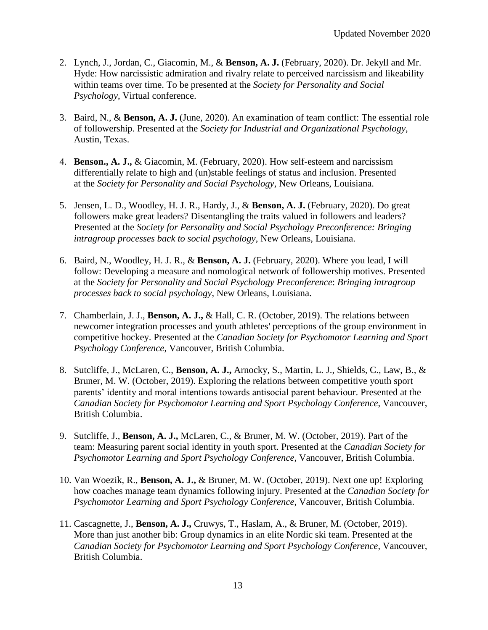- 2. Lynch, J., Jordan, C., Giacomin, M., & **Benson, A. J.** (February, 2020). Dr. Jekyll and Mr. Hyde: How narcissistic admiration and rivalry relate to perceived narcissism and likeability within teams over time. To be presented at the *Society for Personality and Social Psychology*, Virtual conference.
- 3. Baird, N., & **Benson, A. J.** (June, 2020). An examination of team conflict: The essential role of followership. Presented at the *Society for Industrial and Organizational Psychology*, Austin, Texas.
- 4. **Benson., A. J.,** & Giacomin, M. (February, 2020). How self-esteem and narcissism differentially relate to high and (un)stable feelings of status and inclusion. Presented at the *Society for Personality and Social Psychology*, New Orleans, Louisiana.
- 5. Jensen, L. D., Woodley, H. J. R., Hardy, J., & **Benson, A. J.** (February, 2020). Do great followers make great leaders? Disentangling the traits valued in followers and leaders? Presented at the *Society for Personality and Social Psychology Preconference: Bringing intragroup processes back to social psychology*, New Orleans, Louisiana.
- 6. Baird, N., Woodley, H. J. R., & **Benson, A. J.** (February, 2020). Where you lead, I will follow: Developing a measure and nomological network of followership motives. Presented at the *Society for Personality and Social Psychology Preconference*: *Bringing intragroup processes back to social psychology*, New Orleans, Louisiana.
- 7. Chamberlain, J. J., **Benson, A. J.,** & Hall, C. R. (October, 2019). The relations between newcomer integration processes and youth athletes' perceptions of the group environment in competitive hockey. Presented at the *Canadian Society for Psychomotor Learning and Sport Psychology Conference*, Vancouver, British Columbia.
- 8. Sutcliffe, J., McLaren, C., **Benson, A. J.,** Arnocky, S., Martin, L. J., Shields, C., Law, B., & Bruner, M. W. (October, 2019). Exploring the relations between competitive youth sport parents' identity and moral intentions towards antisocial parent behaviour. Presented at the *Canadian Society for Psychomotor Learning and Sport Psychology Conference*, Vancouver, British Columbia.
- 9. Sutcliffe, J., **Benson, A. J.,** McLaren, C., & Bruner, M. W. (October, 2019). Part of the team: Measuring parent social identity in youth sport. Presented at the *Canadian Society for Psychomotor Learning and Sport Psychology Conference*, Vancouver, British Columbia.
- 10. Van Woezik, R., **Benson, A. J.,** & Bruner, M. W. (October, 2019). Next one up! Exploring how coaches manage team dynamics following injury. Presented at the *Canadian Society for Psychomotor Learning and Sport Psychology Conference*, Vancouver, British Columbia.
- 11. Cascagnette, J., **Benson, A. J.,** Cruwys, T., Haslam, A., & Bruner, M. (October, 2019). More than just another bib: Group dynamics in an elite Nordic ski team. Presented at the *Canadian Society for Psychomotor Learning and Sport Psychology Conference*, Vancouver, British Columbia.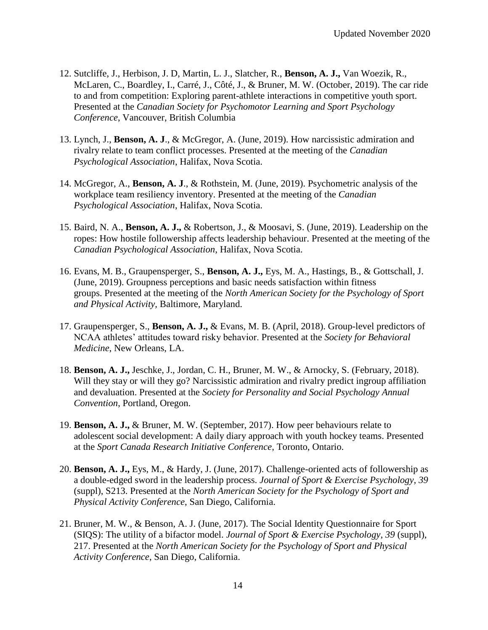- 12. Sutcliffe, J., Herbison, J. D, Martin, L. J., Slatcher, R., **Benson, A. J.,** Van Woezik, R., McLaren, C., Boardley, I., Carré, J., Côté, J., & Bruner, M. W. (October, 2019). The car ride to and from competition: Exploring parent-athlete interactions in competitive youth sport. Presented at the *Canadian Society for Psychomotor Learning and Sport Psychology Conference*, Vancouver, British Columbia
- 13. Lynch, J., **Benson, A. J**., & McGregor, A. (June, 2019). How narcissistic admiration and rivalry relate to team conflict processes. Presented at the meeting of the *Canadian Psychological Association*, Halifax, Nova Scotia.
- 14. McGregor, A., **Benson, A. J**., & Rothstein, M. (June, 2019). Psychometric analysis of the workplace team resiliency inventory. Presented at the meeting of the *Canadian Psychological Association*, Halifax, Nova Scotia.
- 15. Baird, N. A., **Benson, A. J.,** & Robertson, J., & Moosavi, S. (June, 2019). Leadership on the ropes: How hostile followership affects leadership behaviour. Presented at the meeting of the *Canadian Psychological Association*, Halifax, Nova Scotia.
- 16. Evans, M. B., Graupensperger, S., **Benson, A. J.,** Eys, M. A., Hastings, B., & Gottschall, J. (June, 2019). Groupness perceptions and basic needs satisfaction within fitness groups. Presented at the meeting of the *North American Society for the Psychology of Sport and Physical Activity,* Baltimore, Maryland.
- 17. Graupensperger, S., **Benson, A. J.,** & Evans, M. B. (April, 2018). Group-level predictors of NCAA athletes' attitudes toward risky behavior. Presented at the *Society for Behavioral Medicine*, New Orleans, LA.
- 18. **Benson, A. J.,** Jeschke, J., Jordan, C. H., Bruner, M. W., & Arnocky, S. (February, 2018). Will they stay or will they go? Narcissistic admiration and rivalry predict ingroup affiliation and devaluation. Presented at the *Society for Personality and Social Psychology Annual Convention*, Portland, Oregon.
- 19. **Benson, A. J.,** & Bruner, M. W. (September, 2017). How peer behaviours relate to adolescent social development: A daily diary approach with youth hockey teams. Presented at the *Sport Canada Research Initiative Conference*, Toronto, Ontario.
- 20. **Benson, A. J.,** Eys, M., & Hardy, J. (June, 2017). Challenge-oriented acts of followership as a double-edged sword in the leadership process. *Journal of Sport & Exercise Psychology, 39*  (suppl), S213. Presented at the *North American Society for the Psychology of Sport and Physical Activity Conference*, San Diego, California.
- 21. Bruner, M. W., & Benson, A. J. (June, 2017). The Social Identity Questionnaire for Sport (SIQS): The utility of a bifactor model. *Journal of Sport & Exercise Psychology, 39* (suppl), 217. Presented at the *North American Society for the Psychology of Sport and Physical Activity Conference*, San Diego, California.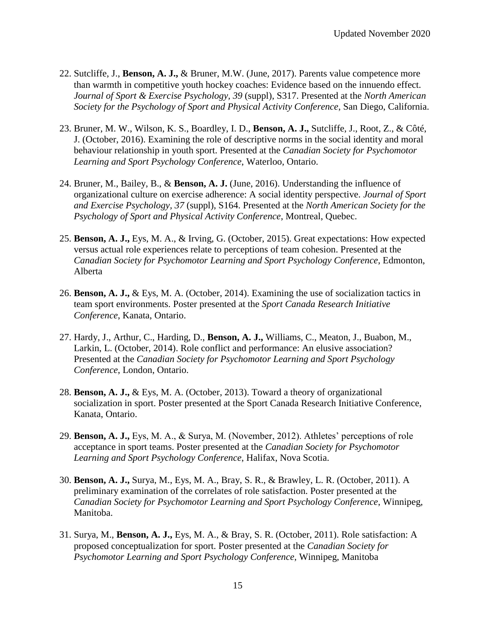- 22. Sutcliffe, J., **Benson, A. J.,** & Bruner, M.W. (June, 2017). Parents value competence more than warmth in competitive youth hockey coaches: Evidence based on the innuendo effect. *Journal of Sport & Exercise Psychology, 39* (suppl), S317. Presented at the *North American Society for the Psychology of Sport and Physical Activity Conference*, San Diego, California.
- 23. Bruner, M. W., Wilson, K. S., Boardley, I. D., **Benson, A. J.,** Sutcliffe, J., Root, Z., & Côté, J. (October, 2016). Examining the role of descriptive norms in the social identity and moral behaviour relationship in youth sport. Presented at the *Canadian Society for Psychomotor Learning and Sport Psychology Conference*, Waterloo, Ontario.
- 24. Bruner, M., Bailey, B., & **Benson, A. J.** (June, 2016). Understanding the influence of organizational culture on exercise adherence: A social identity perspective. *Journal of Sport and Exercise Psychology, 37* (suppl), S164. Presented at the *North American Society for the Psychology of Sport and Physical Activity Conference*, Montreal, Quebec.
- 25. **Benson, A. J.,** Eys, M. A., & Irving, G. (October, 2015). Great expectations: How expected versus actual role experiences relate to perceptions of team cohesion. Presented at the *Canadian Society for Psychomotor Learning and Sport Psychology Conference*, Edmonton, Alberta
- 26. **Benson, A. J.,** & Eys, M. A. (October, 2014). Examining the use of socialization tactics in team sport environments. Poster presented at the *Sport Canada Research Initiative Conference*, Kanata, Ontario.
- 27. Hardy, J., Arthur, C., Harding, D., **Benson, A. J.,** Williams, C., Meaton, J., Buabon, M., Larkin, L. (October, 2014). Role conflict and performance: An elusive association? Presented at the *Canadian Society for Psychomotor Learning and Sport Psychology Conference*, London, Ontario.
- 28. **Benson, A. J.,** & Eys, M. A. (October, 2013). Toward a theory of organizational socialization in sport. Poster presented at the Sport Canada Research Initiative Conference, Kanata, Ontario.
- 29. **Benson, A. J.,** Eys, M. A., & Surya, M. (November, 2012). Athletes' perceptions of role acceptance in sport teams. Poster presented at the *Canadian Society for Psychomotor Learning and Sport Psychology Conference*, Halifax, Nova Scotia.
- 30. **Benson, A. J.,** Surya, M., Eys, M. A., Bray, S. R., & Brawley, L. R. (October, 2011). A preliminary examination of the correlates of role satisfaction. Poster presented at the *Canadian Society for Psychomotor Learning and Sport Psychology Conference*, Winnipeg, Manitoba.
- 31. Surya, M., **Benson, A. J.,** Eys, M. A., & Bray, S. R. (October, 2011). Role satisfaction: A proposed conceptualization for sport. Poster presented at the *Canadian Society for Psychomotor Learning and Sport Psychology Conference*, Winnipeg, Manitoba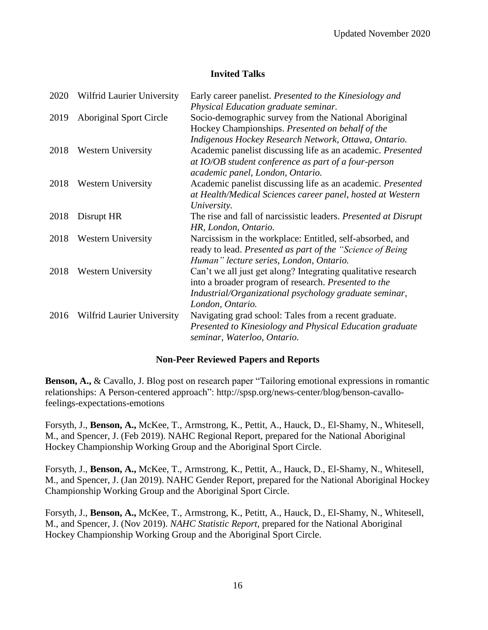### **Invited Talks**

| 2020 | Wilfrid Laurier University     | Early career panelist. Presented to the Kinesiology and                |
|------|--------------------------------|------------------------------------------------------------------------|
|      |                                | Physical Education graduate seminar.                                   |
| 2019 | <b>Aboriginal Sport Circle</b> | Socio-demographic survey from the National Aboriginal                  |
|      |                                | Hockey Championships. Presented on behalf of the                       |
|      |                                | Indigenous Hockey Research Network, Ottawa, Ontario.                   |
| 2018 | <b>Western University</b>      | Academic panelist discussing life as an academic. Presented            |
|      |                                | at IO/OB student conference as part of a four-person                   |
|      |                                | academic panel, London, Ontario.                                       |
| 2018 | <b>Western University</b>      | Academic panelist discussing life as an academic. Presented            |
|      |                                | at Health/Medical Sciences career panel, hosted at Western             |
|      |                                | University.                                                            |
| 2018 | Disrupt HR                     | The rise and fall of narcissistic leaders. <i>Presented at Disrupt</i> |
|      |                                | HR, London, Ontario.                                                   |
| 2018 | <b>Western University</b>      | Narcissism in the workplace: Entitled, self-absorbed, and              |
|      |                                | ready to lead. Presented as part of the "Science of Being"             |
|      |                                | Human" lecture series, London, Ontario.                                |
| 2018 | <b>Western University</b>      | Can't we all just get along? Integrating qualitative research          |
|      |                                | into a broader program of research. Presented to the                   |
|      |                                | Industrial/Organizational psychology graduate seminar,                 |
|      |                                | London, Ontario.                                                       |
| 2016 | Wilfrid Laurier University     | Navigating grad school: Tales from a recent graduate.                  |
|      |                                | Presented to Kinesiology and Physical Education graduate               |
|      |                                | seminar, Waterloo, Ontario.                                            |

### **Non-Peer Reviewed Papers and Reports**

**Benson, A.,** & Cavallo, J. Blog post on research paper "Tailoring emotional expressions in romantic relationships: A Person-centered approach": http://spsp.org/news-center/blog/benson-cavallofeelings-expectations-emotions

Forsyth, J., **Benson, A.,** McKee, T., Armstrong, K., Pettit, A., Hauck, D., El-Shamy, N., Whitesell, M., and Spencer, J. (Feb 2019). NAHC Regional Report, prepared for the National Aboriginal Hockey Championship Working Group and the Aboriginal Sport Circle.

Forsyth, J., **Benson, A.,** McKee, T., Armstrong, K., Pettit, A., Hauck, D., El-Shamy, N., Whitesell, M., and Spencer, J. (Jan 2019). NAHC Gender Report, prepared for the National Aboriginal Hockey Championship Working Group and the Aboriginal Sport Circle.

Forsyth, J., **Benson, A.,** McKee, T., Armstrong, K., Petitt, A., Hauck, D., El-Shamy, N., Whitesell, M., and Spencer, J. (Nov 2019). *NAHC Statistic Report,* prepared for the National Aboriginal Hockey Championship Working Group and the Aboriginal Sport Circle.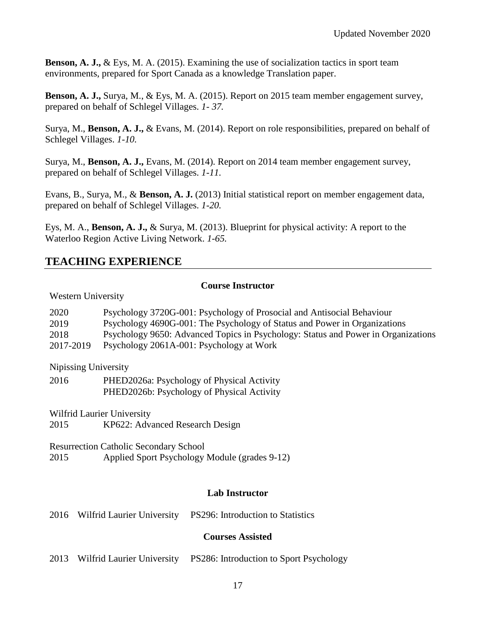**Benson, A. J., & Eys. M. A. (2015). Examining the use of socialization tactics in sport team** environments, prepared for Sport Canada as a knowledge Translation paper.

**Benson, A. J.,** Surya, M., & Eys, M. A. (2015). Report on 2015 team member engagement survey, prepared on behalf of Schlegel Villages. *1- 37.*

Surya, M., **Benson, A. J.,** & Evans, M. (2014). Report on role responsibilities, prepared on behalf of Schlegel Villages. *1-10.*

Surya, M., **Benson, A. J.,** Evans, M. (2014). Report on 2014 team member engagement survey, prepared on behalf of Schlegel Villages. *1-11.* 

Evans, B., Surya, M., & **Benson, A. J.** (2013) Initial statistical report on member engagement data, prepared on behalf of Schlegel Villages. *1-20.*

Eys, M. A., **Benson, A. J.,** & Surya, M. (2013). Blueprint for physical activity: A report to the Waterloo Region Active Living Network. *1-65.*

# **TEACHING EXPERIENCE**

#### **Course Instructor**

#### Western University

| 2020      | Psychology 3720G-001: Psychology of Prosocial and Antisocial Behaviour            |
|-----------|-----------------------------------------------------------------------------------|
| 2019      | Psychology 4690G-001: The Psychology of Status and Power in Organizations         |
| 2018      | Psychology 9650: Advanced Topics in Psychology: Status and Power in Organizations |
| 2017-2019 | Psychology 2061A-001: Psychology at Work                                          |
|           |                                                                                   |

Nipissing University

2016 PHED2026a: Psychology of Physical Activity PHED2026b: Psychology of Physical Activity

Wilfrid Laurier University

2015 KP622: Advanced Research Design

Resurrection Catholic Secondary School 2015 Applied Sport Psychology Module (grades 9-12)

### **Lab Instructor**

2016 Wilfrid Laurier University PS296: Introduction to Statistics

### **Courses Assisted**

2013 Wilfrid Laurier University PS286: Introduction to Sport Psychology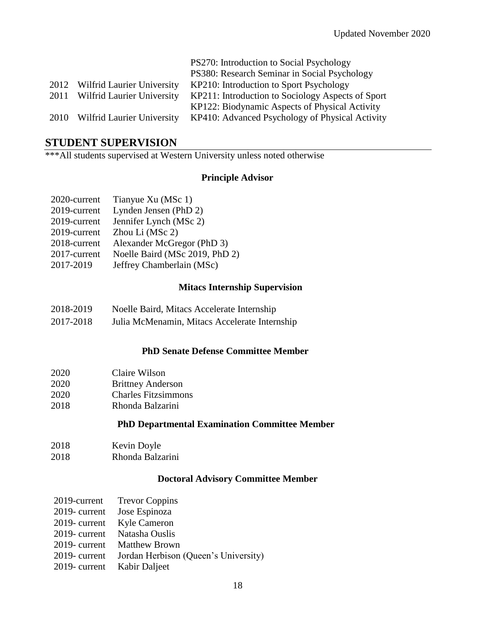|      |                            | PS270: Introduction to Social Psychology          |
|------|----------------------------|---------------------------------------------------|
|      |                            | PS380: Research Seminar in Social Psychology      |
| 2012 | Wilfrid Laurier University | KP210: Introduction to Sport Psychology           |
| 2011 | Wilfrid Laurier University | KP211: Introduction to Sociology Aspects of Sport |
|      |                            | KP122: Biodynamic Aspects of Physical Activity    |
| 2010 | Wilfrid Laurier University | KP410: Advanced Psychology of Physical Activity   |

## **STUDENT SUPERVISION**

\*\*\*All students supervised at Western University unless noted otherwise

### **Principle Advisor**

| 2020-current | Tianyue Xu (MSc 1)             |
|--------------|--------------------------------|
| 2019-current | Lynden Jensen (PhD 2)          |
| 2019-current | Jennifer Lynch (MSc 2)         |
| 2019-current | Zhou Li (MSc 2)                |
| 2018-current | Alexander McGregor (PhD 3)     |
| 2017-current | Noelle Baird (MSc 2019, PhD 2) |
| 2017-2019    | Jeffrey Chamberlain (MSc)      |

### **Mitacs Internship Supervision**

| 2018-2019 | Noelle Baird, Mitacs Accelerate Internship    |
|-----------|-----------------------------------------------|
| 2017-2018 | Julia McMenamin, Mitacs Accelerate Internship |

#### **PhD Senate Defense Committee Member**

| 2020 | Claire Wilson |
|------|---------------|
|------|---------------|

- 2020 Brittney Anderson
- 2020 Charles Fitzsimmons
- 2018 Rhonda Balzarini

### **PhD Departmental Examination Committee Member**

2018 2018 Kevin Doyle Rhonda Balzarini

### **Doctoral Advisory Committee Member**

|                            | 2019-current Trevor Coppins          |
|----------------------------|--------------------------------------|
| $2019$ - current           | Jose Espinoza                        |
| $2019$ - current           | <b>Kyle Cameron</b>                  |
| $2019$ - current           | Natasha Ouslis                       |
| $2019$ - current           | <b>Matthew Brown</b>                 |
| $2019$ - current           | Jordan Herbison (Queen's University) |
| 2019-current Kabir Daljeet |                                      |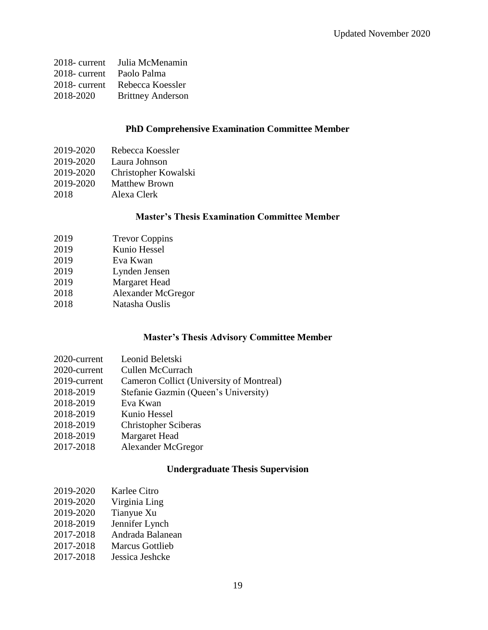| $2018$ - current | Julia McMenamin          |
|------------------|--------------------------|
| $2018$ - current | Paolo Palma              |
| $2018$ - current | Rebecca Koessler         |
| 2018-2020        | <b>Brittney Anderson</b> |

### **PhD Comprehensive Examination Committee Member**

- 2019-2020 Laura Johnson
- 2019-2020 Christopher Kowalski
- 2019-2020 Matthew Brown
- 2018 Alexa Clerk

### **Master's Thesis Examination Committee Member**

| 2019 | <b>Trevor Coppins</b> |
|------|-----------------------|
| 2019 | Kunio Hessel          |
| 2019 | Eva Kwan              |
| 2019 | Lynden Jensen         |
| 2019 | <b>Margaret Head</b>  |
| 2018 | Alexander McGre       |

- Alexander McGregor
- 2018 Natasha Ouslis

### **Master's Thesis Advisory Committee Member**

| Cameron Collict (University of Montreal) |
|------------------------------------------|
| Stefanie Gazmin (Queen's University)     |
|                                          |
|                                          |
|                                          |
|                                          |
|                                          |
|                                          |

### **Undergraduate Thesis Supervision**

| 2019-2020 | Karlee Citro |
|-----------|--------------|
|           |              |

- 2019-2020 Virginia Ling
- 2019-2020 Tianyue Xu
- 2018-2019 Jennifer Lynch
- 2017-2018 Andrada Balanean
- 2017-2018 Marcus Gottlieb
- 2017-2018 Jessica Jeshcke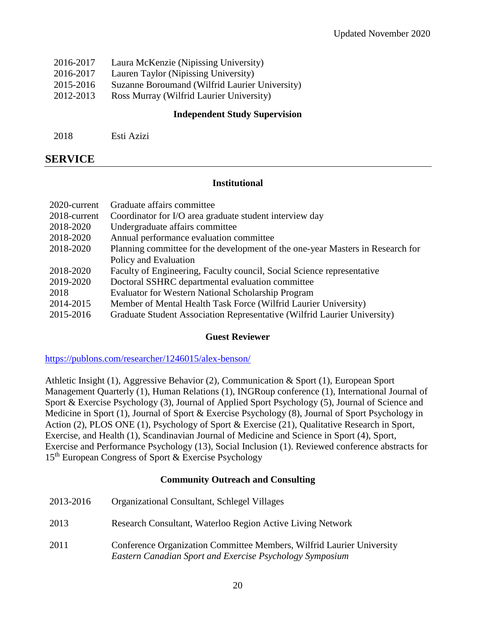| 2016-2017 | Laura McKenzie (Nipissing University)          |
|-----------|------------------------------------------------|
| 2016-2017 | Lauren Taylor (Nipissing University)           |
| 2015-2016 | Suzanne Boroumand (Wilfrid Laurier University) |
| 2012-2013 | Ross Murray (Wilfrid Laurier University)       |
|           |                                                |

### **Independent Study Supervision**

2018 Esti Azizi

## **SERVICE**

### **Institutional**

| 2020-current | Graduate affairs committee                                                     |
|--------------|--------------------------------------------------------------------------------|
| 2018-current | Coordinator for I/O area graduate student interview day                        |
| 2018-2020    | Undergraduate affairs committee                                                |
| 2018-2020    | Annual performance evaluation committee                                        |
| 2018-2020    | Planning committee for the development of the one-year Masters in Research for |
|              | Policy and Evaluation                                                          |
| 2018-2020    | Faculty of Engineering, Faculty council, Social Science representative         |
| 2019-2020    | Doctoral SSHRC departmental evaluation committee                               |
| 2018         | <b>Evaluator for Western National Scholarship Program</b>                      |
| 2014-2015    | Member of Mental Health Task Force (Wilfrid Laurier University)                |
| 2015-2016    | Graduate Student Association Representative (Wilfrid Laurier University)       |

### **Guest Reviewer**

<https://publons.com/researcher/1246015/alex-benson/>

Athletic Insight (1), Aggressive Behavior (2), Communication & Sport (1), European Sport Management Quarterly (1), Human Relations (1), INGRoup conference (1), International Journal of Sport & Exercise Psychology (3), Journal of Applied Sport Psychology (5), Journal of Science and Medicine in Sport (1), Journal of Sport & Exercise Psychology (8), Journal of Sport Psychology in Action (2), PLOS ONE (1), Psychology of Sport & Exercise (21), Qualitative Research in Sport, Exercise, and Health (1), Scandinavian Journal of Medicine and Science in Sport (4), Sport, Exercise and Performance Psychology (13), Social Inclusion (1). Reviewed conference abstracts for 15th European Congress of Sport & Exercise Psychology

### **Community Outreach and Consulting**

| 2013-2016 | <b>Organizational Consultant, Schlegel Villages</b>                                                                               |
|-----------|-----------------------------------------------------------------------------------------------------------------------------------|
| 2013      | Research Consultant, Waterloo Region Active Living Network                                                                        |
| 2011      | Conference Organization Committee Members, Wilfrid Laurier University<br>Eastern Canadian Sport and Exercise Psychology Symposium |